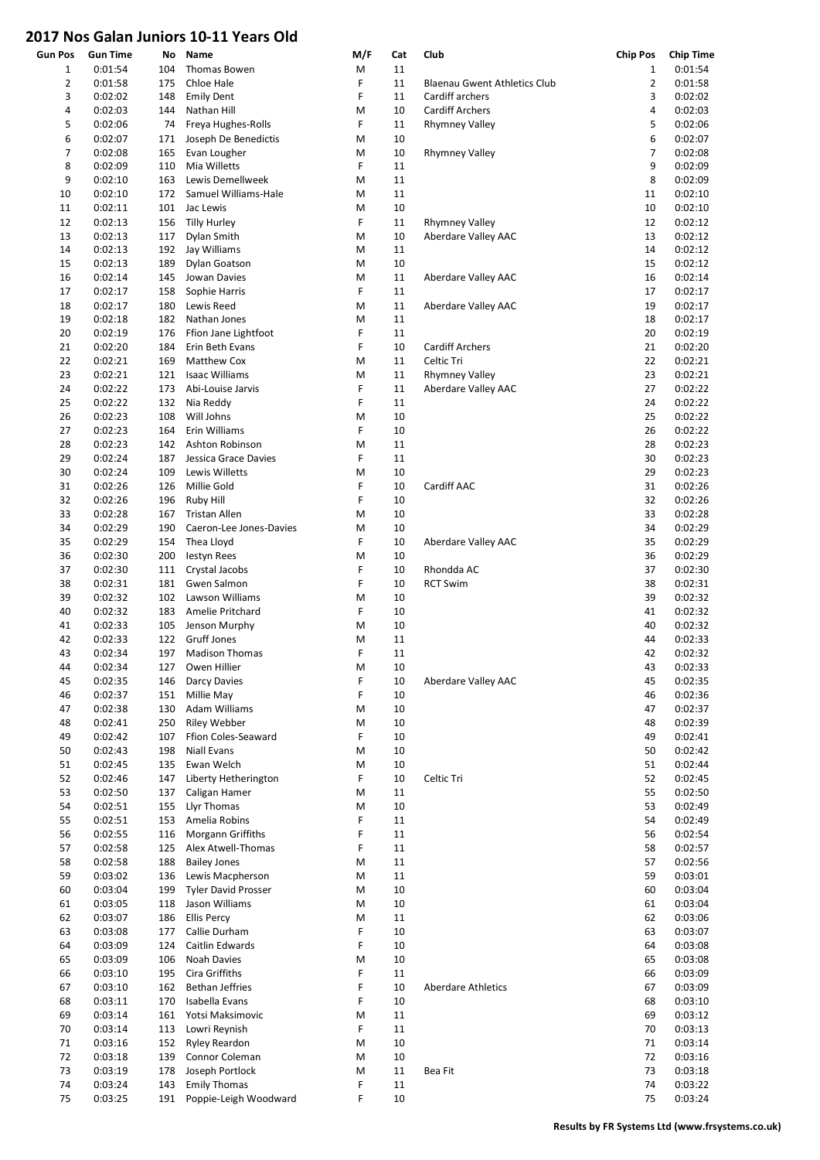## 2017 Nos Galan Juniors 10-11 Years Old

| <b>Gun Pos</b> | <b>Gun Time</b>    | No         | Name                                     | M/F    | Cat      | Club                                | <b>Chip Pos</b> | <b>Chip Time</b>   |
|----------------|--------------------|------------|------------------------------------------|--------|----------|-------------------------------------|-----------------|--------------------|
| 1              | 0:01:54            | 104        | Thomas Bowen                             | M      | 11       |                                     | $\mathbf 1$     | 0:01:54            |
| $\overline{2}$ | 0:01:58            | 175        | Chloe Hale                               | F      | 11       | <b>Blaenau Gwent Athletics Club</b> | $\overline{2}$  | 0:01:58            |
| 3              | 0:02:02            | 148        | <b>Emily Dent</b>                        | F      | 11       | Cardiff archers                     | 3               | 0:02:02            |
| 4              | 0:02:03            | 144        | Nathan Hill                              | M      | 10       | <b>Cardiff Archers</b>              | 4               | 0:02:03            |
| 5              | 0:02:06            | 74         | Freya Hughes-Rolls                       | F      | 11       | <b>Rhymney Valley</b>               | 5               | 0:02:06            |
| 6              | 0:02:07            | 171        | Joseph De Benedictis                     | M      | 10       |                                     | 6               | 0:02:07            |
| $\overline{7}$ | 0:02:08            | 165        | Evan Lougher                             | M      | 10       | <b>Rhymney Valley</b>               | 7               | 0:02:08            |
| 8              | 0:02:09            | 110        | Mia Willetts                             | F      | 11       |                                     | 9               | 0:02:09            |
| 9              | 0:02:10            | 163        | Lewis Demellweek                         | M      | 11       |                                     | 8               | 0:02:09            |
| 10             | 0:02:10            | 172        | Samuel Williams-Hale                     | M      | 11       |                                     | 11              | 0:02:10            |
| 11             | 0:02:11            | 101        | Jac Lewis                                | M      | 10       |                                     | 10              | 0:02:10            |
| 12             | 0:02:13            | 156        | <b>Tilly Hurley</b>                      | F      | 11       | <b>Rhymney Valley</b>               | 12              | 0:02:12            |
| 13             | 0:02:13            | 117        | Dylan Smith                              | M      | 10       | Aberdare Valley AAC                 | 13              | 0:02:12            |
| 14             | 0:02:13            | 192        | Jay Williams                             | M      | 11       |                                     | 14              | 0:02:12            |
| 15             | 0:02:13            | 189        | Dylan Goatson                            | M      | 10       |                                     | 15              | 0:02:12            |
| 16             | 0:02:14            | 145        | Jowan Davies                             | M      | 11       | Aberdare Valley AAC                 | 16              | 0:02:14            |
| 17             | 0:02:17            | 158        | Sophie Harris                            | F      | 11       |                                     | 17              | 0:02:17            |
| 18             | 0:02:17            | 180        | Lewis Reed                               | M      | 11       | Aberdare Valley AAC                 | 19              | 0:02:17            |
| 19             | 0:02:18            | 182        | Nathan Jones                             | M      | 11       |                                     | 18              | 0:02:17            |
| 20             | 0:02:19            | 176        | Ffion Jane Lightfoot                     | F      | 11       |                                     | 20              | 0:02:19            |
| 21             | 0:02:20            | 184        | Erin Beth Evans                          | F      | 10       | <b>Cardiff Archers</b>              | 21              | 0:02:20            |
| 22             | 0:02:21            | 169        | <b>Matthew Cox</b>                       | M      | 11       | Celtic Tri                          | 22              | 0:02:21            |
| 23             | 0:02:21            | 121        | <b>Isaac Williams</b>                    | M      | 11       | <b>Rhymney Valley</b>               | 23              | 0:02:21            |
| 24             | 0:02:22            | 173        | Abi-Louise Jarvis                        | F      | 11       | Aberdare Valley AAC                 | 27              | 0:02:22            |
| 25             | 0:02:22            | 132        | Nia Reddy                                | F      | 11       |                                     | 24              | 0:02:22            |
| 26             | 0:02:23            | 108        | Will Johns                               | M      | 10       |                                     | 25              | 0:02:22            |
| 27             | 0:02:23            | 164        | Erin Williams                            | F      | 10       |                                     | 26              | 0:02:22            |
| 28             | 0:02:23            | 142        | Ashton Robinson                          | M      | 11       |                                     | 28              | 0:02:23            |
| 29             | 0:02:24            | 187        | Jessica Grace Davies                     | F      | 11       |                                     | 30<br>29        | 0:02:23<br>0:02:23 |
| 30             | 0:02:24            | 109        | Lewis Willetts                           | M<br>F | 10       |                                     |                 |                    |
| 31             | 0:02:26            | 126        | Millie Gold                              | F      | 10       | Cardiff AAC                         | 31<br>32        | 0:02:26<br>0:02:26 |
| 32<br>33       | 0:02:26<br>0:02:28 | 196<br>167 | <b>Ruby Hill</b><br><b>Tristan Allen</b> | M      | 10<br>10 |                                     | 33              | 0:02:28            |
| 34             | 0:02:29            | 190        | Caeron-Lee Jones-Davies                  | M      | 10       |                                     | 34              | 0:02:29            |
| 35             | 0:02:29            | 154        | Thea Lloyd                               | F      | 10       | Aberdare Valley AAC                 | 35              | 0:02:29            |
| 36             | 0:02:30            | 200        | <b>lestyn Rees</b>                       | M      | 10       |                                     | 36              | 0:02:29            |
| 37             | 0:02:30            | 111        | Crystal Jacobs                           | F      | 10       | Rhondda AC                          | 37              | 0:02:30            |
| 38             | 0:02:31            | 181        | Gwen Salmon                              | F      | 10       | <b>RCT Swim</b>                     | 38              | 0:02:31            |
| 39             | 0:02:32            | 102        | Lawson Williams                          | M      | 10       |                                     | 39              | 0:02:32            |
| 40             | 0:02:32            | 183        | Amelie Pritchard                         | F      | 10       |                                     | 41              | 0:02:32            |
| 41             | 0:02:33            | 105        | Jenson Murphy                            | M      | 10       |                                     | 40              | 0:02:32            |
| 42             | 0:02:33            | 122        | Gruff Jones                              | M      | 11       |                                     | 44              | 0:02:33            |
| 43             | 0:02:34            | 197        | <b>Madison Thomas</b>                    | F      | 11       |                                     | 42              | 0:02:32            |
| 44             | 0:02:34            | 127        | Owen Hillier                             | M      | 10       |                                     | 43              | 0:02:33            |
| 45             | 0:02:35            | 146        | Darcy Davies                             | F      | 10       | Aberdare Valley AAC                 | 45              | 0:02:35            |
| 46             | 0:02:37            | 151        | Millie May                               | F      | 10       |                                     | 46              | 0:02:36            |
| 47             | 0:02:38            | 130        | <b>Adam Williams</b>                     | M      | 10       |                                     | 47              | 0:02:37            |
| 48             | 0:02:41            | 250        | <b>Riley Webber</b>                      | M      | 10       |                                     | 48              | 0:02:39            |
| 49             | 0:02:42            | 107        | Ffion Coles-Seaward                      | F      | 10       |                                     | 49              | 0:02:41            |
| 50             | 0:02:43            | 198        | <b>Niall Evans</b>                       | M      | 10       |                                     | 50              | 0:02:42            |
| 51             | 0:02:45            | 135        | Ewan Welch                               | M      | 10       |                                     | 51              | 0:02:44            |
| 52             | 0:02:46            | 147        | Liberty Hetherington                     | F      | 10       | Celtic Tri                          | 52              | 0:02:45            |
| 53             | 0:02:50            | 137        | Caligan Hamer                            | M      | 11       |                                     | 55              | 0:02:50            |
| 54             | 0:02:51            | 155        | Llyr Thomas                              | M      | 10       |                                     | 53              | 0:02:49            |
| 55             | 0:02:51            | 153        | Amelia Robins                            | F      | 11       |                                     | 54              | 0:02:49            |
| 56             | 0:02:55            | 116        | Morgann Griffiths                        | F      | 11       |                                     | 56              | 0:02:54            |
| 57             | 0:02:58            | 125        | Alex Atwell-Thomas                       | F      | 11       |                                     | 58              | 0:02:57            |
| 58             | 0:02:58            | 188        | <b>Bailey Jones</b>                      | M      | 11       |                                     | 57              | 0:02:56            |
| 59             | 0:03:02            | 136        | Lewis Macpherson                         | M      | 11       |                                     | 59              | 0:03:01            |
| 60             | 0:03:04            | 199        | <b>Tyler David Prosser</b>               | M      | 10       |                                     | 60              | 0:03:04            |
| 61             | 0:03:05            | 118        | Jason Williams                           | M      | 10       |                                     | 61              | 0:03:04            |
| 62             | 0:03:07            | 186        | <b>Ellis Percy</b>                       | M      | 11       |                                     | 62              | 0:03:06            |
| 63             | 0:03:08            | 177        | Callie Durham                            | F      | 10       |                                     | 63              | 0:03:07            |
| 64             | 0:03:09            | 124        | Caitlin Edwards                          | F      | 10       |                                     | 64              | 0:03:08            |
| 65             | 0:03:09            | 106        | Noah Davies                              | M      | 10       |                                     | 65              | 0:03:08            |
| 66             | 0:03:10            | 195        | Cira Griffiths                           | F      | 11       |                                     | 66              | 0:03:09            |
| 67             | 0:03:10            | 162        | <b>Bethan Jeffries</b>                   | F      | 10       | <b>Aberdare Athletics</b>           | 67              | 0:03:09            |
| 68             | 0:03:11            | 170        | Isabella Evans                           | F      | 10       |                                     | 68              | 0:03:10            |
| 69             | 0:03:14            | 161        | Yotsi Maksimovic                         | M      | 11       |                                     | 69              | 0:03:12            |
| 70             | 0:03:14            | 113        | Lowri Reynish                            | F      | 11       |                                     | 70              | 0:03:13            |
| 71             | 0:03:16            | 152        | <b>Ryley Reardon</b>                     | M      | 10       |                                     | 71              | 0:03:14            |
| 72             | 0:03:18            | 139        | Connor Coleman                           | M      | 10       |                                     | 72              | 0:03:16            |
| 73             | 0:03:19            | 178        | Joseph Portlock                          | M      | 11       | Bea Fit                             | 73              | 0:03:18            |
| 74             | 0:03:24            | 143        | <b>Emily Thomas</b>                      | F      | 11       |                                     | 74              | 0:03:22            |
| 75             | 0:03:25            | 191        | Poppie-Leigh Woodward                    | F      | 10       |                                     | 75              | 0:03:24            |